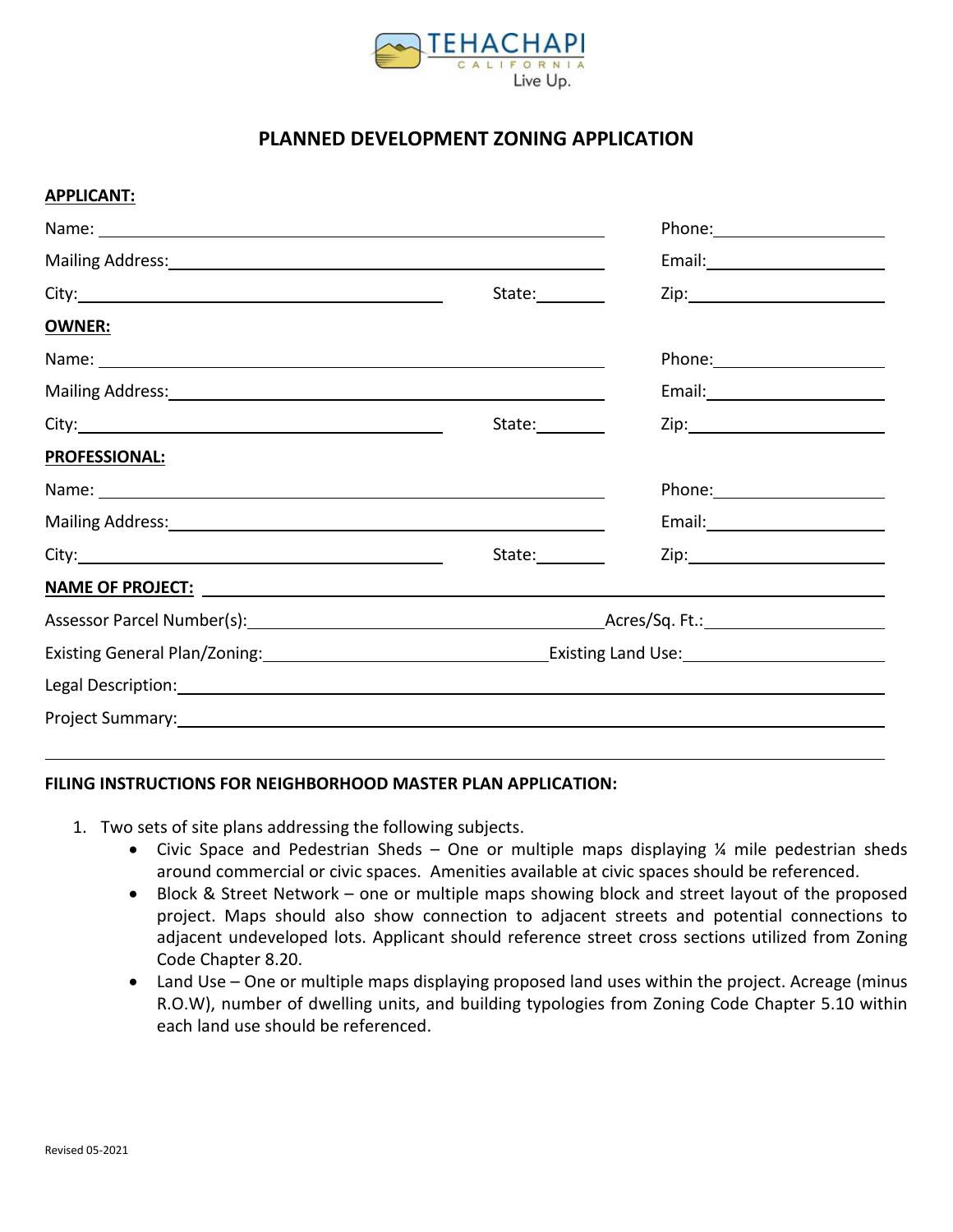

# **PLANNED DEVELOPMENT ZONING APPLICATION**

### **APPLICANT:**

| Mailing Address: National Address: National Address: National Address: National Address: National Address: National Address: National Address: National Address: National Address: National Address: National Address: Nationa |                 | Email: North Contract Contract Contract Contract Contract Contract Contract Contract Contract Contract Contract Contract Contract Contract Contract Contract Contract Contract Contract Contract Contract Contract Contract Co |
|--------------------------------------------------------------------------------------------------------------------------------------------------------------------------------------------------------------------------------|-----------------|--------------------------------------------------------------------------------------------------------------------------------------------------------------------------------------------------------------------------------|
|                                                                                                                                                                                                                                | State:          |                                                                                                                                                                                                                                |
| OWNER:                                                                                                                                                                                                                         |                 |                                                                                                                                                                                                                                |
|                                                                                                                                                                                                                                |                 | Phone: _______________________                                                                                                                                                                                                 |
| Mailing Address: Mail and Mail and Mail and Mail and Mail and Mail and Mail and Mail and Mail and Mail and Mail                                                                                                                |                 |                                                                                                                                                                                                                                |
|                                                                                                                                                                                                                                | State:          |                                                                                                                                                                                                                                |
| <b>PROFESSIONAL:</b>                                                                                                                                                                                                           |                 |                                                                                                                                                                                                                                |
|                                                                                                                                                                                                                                |                 |                                                                                                                                                                                                                                |
| Mailing Address: National Address: National Address: National Address: National Address: National Address: National Address: National Address: National Address: National Address: National Address: National Address: Nationa |                 |                                                                                                                                                                                                                                |
|                                                                                                                                                                                                                                | State:_________ |                                                                                                                                                                                                                                |
|                                                                                                                                                                                                                                |                 |                                                                                                                                                                                                                                |
|                                                                                                                                                                                                                                |                 |                                                                                                                                                                                                                                |
|                                                                                                                                                                                                                                |                 |                                                                                                                                                                                                                                |
| Legal Description: National Accounts of the Contract of the Contract of the Contract of the Contract of the Co                                                                                                                 |                 |                                                                                                                                                                                                                                |
|                                                                                                                                                                                                                                |                 |                                                                                                                                                                                                                                |

### **FILING INSTRUCTIONS FOR NEIGHBORHOOD MASTER PLAN APPLICATION:**

- 1. Two sets of site plans addressing the following subjects.
	- Civic Space and Pedestrian Sheds One or multiple maps displaying  $\frac{1}{4}$  mile pedestrian sheds around commercial or civic spaces. Amenities available at civic spaces should be referenced.
	- Block & Street Network one or multiple maps showing block and street layout of the proposed project. Maps should also show connection to adjacent streets and potential connections to adjacent undeveloped lots. Applicant should reference street cross sections utilized from Zoning Code Chapter 8.20.
	- Land Use One or multiple maps displaying proposed land uses within the project. Acreage (minus R.O.W), number of dwelling units, and building typologies from Zoning Code Chapter 5.10 within each land use should be referenced.